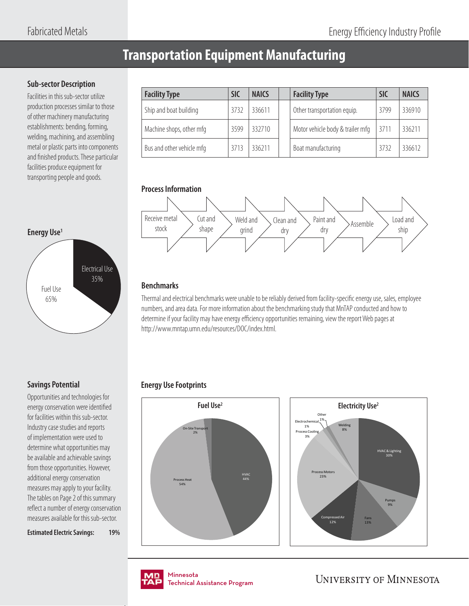# **Transportation Equipment Manufacturing**

### **Sub-sector Description**

Facilities in this sub-sector utilize production processes similar to those of other machinery manufacturing establishments: bending, forming, welding, machining, and assembling metal or plastic parts into components and finished products. These particular facilities produce equipment for transporting people and goods.

| <b>Facility Type</b>      | SIC  | <b>NAICS</b> | <b>Facility Type</b>             | <b>SIC</b> | <b>NAICS</b> |
|---------------------------|------|--------------|----------------------------------|------------|--------------|
| Ship and boat building    | 3732 | 336611       | Other transportation equip.      | 3799       | 336910       |
| Machine shops, other mfg  | 3599 | 332710       | Motor vehicle body & trailer mfg | 3711       | 336211       |
| Bus and other vehicle mfg | 3713 | 336211       | Boat manufacturing               | 3732       | 336612       |

### **Process Information**



#### **Benchmarks**

Thermal and electrical benchmarks were unable to be reliably derived from facility-specific energy use, sales, employee numbers, and area data. For more information about the benchmarking study that MnTAP conducted and how to determine if your facility may have energy efficiency opportunities remaining, view the report Web pages at http://www.mntap.umn.edu/resources/DOC/index.html.

# **Energy Use Footprints**







# **Savings Potential**

Opportunities and technologies for energy conservation were identified for facilities within this sub-sector. Industry case studies and reports of implementation were used to determine what opportunities may be available and achievable savings from those opportunities. However, additional energy conservation measures may apply to your facility. The tables on Page 2 of this summary reflect a number of energy conservation measures available for this sub-sector.

**Estimated Electric Savings: 19%**



.<br>Tochnical / Technical Assistance Program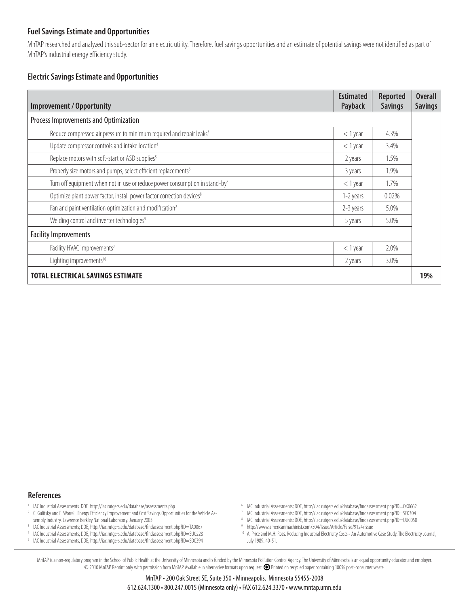MnTAP researched and analyzed this sub-sector for an electric utility. Therefore, fuel savings opportunities and an estimate of potential savings were not identified as part of MnTAP's industrial energy efficiency study.

#### **Electric Savings Estimate and Opportunities**

| <b>Improvement / Opportunity</b>                                                        | <b>Estimated</b><br>Payback | <b>Reported</b><br><b>Savings</b> | <b>Overall</b><br><b>Savings</b> |
|-----------------------------------------------------------------------------------------|-----------------------------|-----------------------------------|----------------------------------|
| Process Improvements and Optimization                                                   |                             |                                   |                                  |
| Reduce compressed air pressure to minimum required and repair leaks <sup>3</sup>        | $<$ 1 year                  | 4.3%                              |                                  |
| Update compressor controls and intake location <sup>4</sup>                             | $<$ 1 year                  | 3.4%                              |                                  |
| Replace motors with soft-start or ASD supplies <sup>5</sup>                             | 2 years                     | 1.5%                              |                                  |
| Properly size motors and pumps, select efficient replacements <sup>6</sup>              | 3 years                     | 1.9%                              |                                  |
| Turn off equipment when not in use or reduce power consumption in stand-by <sup>7</sup> | $<$ 1 year                  | 1.7%                              |                                  |
| Optimize plant power factor, install power factor correction devices <sup>8</sup>       | 1-2 years                   | 0.02%                             |                                  |
| Fan and paint ventilation optimization and modification <sup>2</sup>                    | 2-3 years                   | 5.0%                              |                                  |
| Welding control and inverter technologies <sup>9</sup>                                  | 5 years                     | 5.0%                              |                                  |
| <b>Facility Improvements</b>                                                            |                             |                                   |                                  |
| Facility HVAC improvements <sup>2</sup>                                                 | $<$ 1 year                  | 2.0%                              |                                  |
| Lighting improvements <sup>10</sup>                                                     | 2 years                     | 3.0%                              |                                  |
| <b>TOTAL ELECTRICAL SAVINGS ESTIMATE</b>                                                |                             |                                   | 19%                              |

#### **References**

- 1 IAC Industrial Assessments. DOE. http://iac.rutgers.edu/database/assessments.php
- <sup>2</sup> C. Galitsky and E. Worrell. Energy Efficiency Improvement and Cost Savings Opportunities for the Vehicle Assembly Industry. Lawrence Berkley National Laboratory. January 2003.
- <sup>3</sup> IAC Industrial Assessments; DOE, http://iac.rutgers.edu/database/findassessment.php?ID=TA0067
- 4 IAC Industrial Assessments; DOE, http://iac.rutgers.edu/database/findassessment.php?ID=SU0228<br>5 IAC Industrial Assessments: DOE, http://iac.rutgers.edu/database/findassessment.php?ID=SD0394
- IAC Industrial Assessments; DOE, http://iac.rutgers.edu/database/findassessment.php?ID=SD0394
- <sup>6</sup> IAC Industrial Assessments; DOE, http://iac.rutgers.edu/database/findassessment.php?ID=0K0662
- <sup>7</sup> IAC Industrial Assessments; DOE, http://iac.rutgers.edu/database/findassessment.php?ID=SF0304
- 8 IAC Industrial Assessments; DOE, http://iac.rutgers.edu/database/findassessment.php?ID=UU0050
- 9 http://www.americanmachinist.com/304/Issue/Article/False/9124/Issue

10 A. Price and M.H. Ross. Reducing Industrial Electricity Costs - An Automotive Case Study. The Electricity Journal, July 1989: 40-51.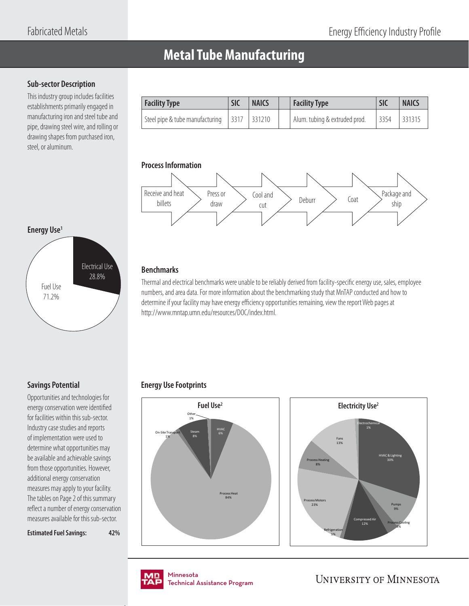# **Metal Tube Manufacturing**

# **Sub-sector Description**

This industry group includes facilities establishments primarily engaged in manufacturing iron and steel tube and pipe, drawing steel wire, and rolling or drawing shapes from purchased iron, steel, or aluminum.

| <b>Facility Type</b>                   | <b>SIC</b> | <b>NAICS</b> | <b>Facility Type</b>          | <b>SIC</b> | <b>NAICS</b> |
|----------------------------------------|------------|--------------|-------------------------------|------------|--------------|
| Steel pipe & tube manufacturing   3317 |            | 331210       | Alum. tubing & extruded prod. | 3354       | 331315       |

#### **Process Information**



#### **Energy Use1**



# **Benchmarks**

Thermal and electrical benchmarks were unable to be reliably derived from facility-specific energy use, sales, employee numbers, and area data. For more information about the benchmarking study that MnTAP conducted and how to determine if your facility may have energy efficiency opportunities remaining, view the report Web pages at http://www.mntap.umn.edu/resources/DOC/index.html.

# **Savings Potential**

Opportunities and technologies for energy conservation were identified for facilities within this sub-sector. Industry case studies and reports of implementation were used to determine what opportunities may be available and achievable savings from those opportunities. However, additional energy conservation measures may apply to your facility. The tables on Page 2 of this summary reflect a number of energy conservation measures available for this sub-sector.

**Estimated Fuel Savings: 42%**

# **Energy Use Footprints**







Minnesota .<br>Tochnical / Technical Assistance Program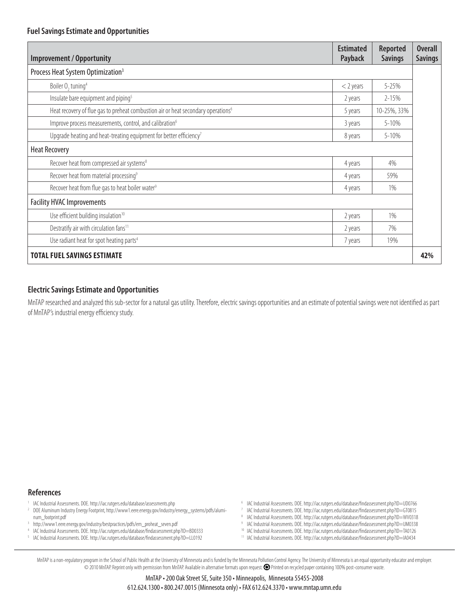| <b>Improvement / Opportunity</b>                                                              | <b>Estimated</b><br><b>Payback</b> | <b>Reported</b><br><b>Savings</b> | <b>Overall</b><br><b>Savings</b> |
|-----------------------------------------------------------------------------------------------|------------------------------------|-----------------------------------|----------------------------------|
| Process Heat System Optimization <sup>3</sup>                                                 |                                    |                                   |                                  |
| Boiler O <sub>2</sub> tuning <sup>4</sup>                                                     | $<$ 2 years                        | 5-25%                             |                                  |
| Insulate bare equipment and piping <sup>5</sup>                                               | 2 years                            | 2-15%                             |                                  |
| Heat recovery of flue gas to preheat combustion air or heat secondary operations <sup>6</sup> | 5 years                            | 10-25%, 33%                       |                                  |
| Improve process measurements, control, and calibration <sup>6</sup>                           | 3 years                            | $5 - 10%$                         |                                  |
| Upgrade heating and heat-treating equipment for better efficiency <sup>7</sup>                | 8 years                            | $5 - 10%$                         |                                  |
| <b>Heat Recovery</b>                                                                          |                                    |                                   |                                  |
| Recover heat from compressed air systems <sup>8</sup>                                         | 4 years                            | 4%                                |                                  |
| Recover heat from material processing <sup>9</sup>                                            | 4 years                            | 59%                               |                                  |
| Recover heat from flue gas to heat boiler water <sup>9</sup>                                  | 4 years                            | 1%                                |                                  |
| <b>Facility HVAC Improvements</b>                                                             |                                    |                                   |                                  |
| Use efficient building insulation <sup>10</sup>                                               | 2 years                            | 1%                                |                                  |
| Destratify air with circulation fans <sup>11</sup>                                            | 2 years                            | 7%                                |                                  |
| Use radiant heat for spot heating parts <sup>4</sup>                                          | 7 years                            | 19%                               |                                  |
| <b>TOTAL FUEL SAVINGS ESTIMATE</b>                                                            |                                    |                                   | 42%                              |

#### **Electric Savings Estimate and Opportunities**

MnTAP researched and analyzed this sub-sector for a natural gas utility. Therefore, electric savings opportunities and an estimate of potential savings were not identified as part of MnTAP's industrial energy efficiency study.

#### **References**

- 1 IAC Industrial Assessments. DOE. http://iac.rutgers.edu/database/assessments.php
- <sup>2</sup> DOE Aluminum Industry Energy Footprint, http://www1.eere.energy.gov/industry/energy\_systems/pdfs/aluminum\_footprint.pdf
- 3 http://www1.eere.energy.gov/industry/bestpractices/pdfs/em\_proheat\_seven.pdf
- <sup>4</sup> IAC Industrial Assessments. DOE. http://iac.rutgers.edu/database/findassessment.php?ID=BD0333
- <sup>5</sup> IAC Industrial Assessments. DOE. http://iac.rutgers.edu/database/findassessment.php?ID=LL0192
- <sup>6</sup> IAC Industrial Assessments. DOE. http://iac.rutgers.edu/database/findassessment.php?ID=UD0766
- <sup>7</sup> IAC Industrial Assessments. DOE. http://iac.rutgers.edu/database/findassessment.php?ID=GT0815
- <sup>8</sup> IAC Industrial Assessments. DOE. http://iac.rutgers.edu/database/findassessment.php?ID=WV0318
- <sup>9</sup> IAC Industrial Assessments. DOE. http://iac.rutgers.edu/database/findassessment.php?ID=UM0338
- <sup>10</sup> IAC Industrial Assessments. DOE. http://iac.rutgers.edu/database/findassessment.php?ID=TA0126 <sup>11</sup> IAC Industrial Assessments. DOE. http://iac.rutgers.edu/database/findassessment.php?ID=IA0434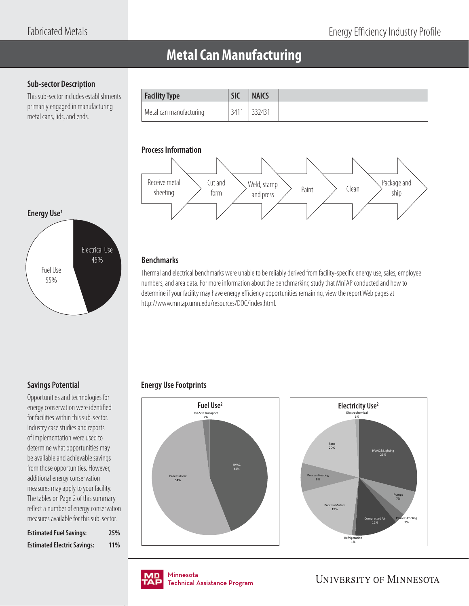# **Metal Can Manufacturing**

# **Sub-sector Description**

This sub-sector includes establishments primarily engaged in manufacturing metal cans, lids, and ends.

| <b>Facility Type</b>    | <b>SIC</b> | <b>NAICS</b> |
|-------------------------|------------|--------------|
| Metal can manufacturing | 3411       | 332431       |

### **Process Information**



# **Energy Use1** Fuel Use 55% Electrical Use 45%

#### **Benchmarks**

Thermal and electrical benchmarks were unable to be reliably derived from facility-specific energy use, sales, employee numbers, and area data. For more information about the benchmarking study that MnTAP conducted and how to determine if your facility may have energy efficiency opportunities remaining, view the report Web pages at http://www.mntap.umn.edu/resources/DOC/index.html.

# **Savings Potential**

Opportunities and technologies for energy conservation were identified for facilities within this sub-sector. Industry case studies and reports of implementation were used to determine what opportunities may be available and achievable savings from those opportunities. However, additional energy conservation measures may apply to your facility. The tables on Page 2 of this summary reflect a number of energy conservation measures available for this sub-sector.

| <b>Estimated Fuel Savings:</b>     | 25%        |
|------------------------------------|------------|
| <b>Estimated Electric Savings:</b> | <b>11%</b> |

# **Energy Use Footprints**





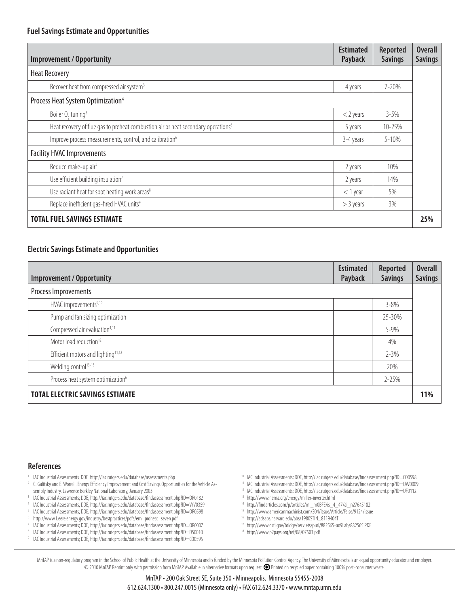| <b>Improvement / Opportunity</b>                                                              | <b>Estimated</b><br>Payback | <b>Reported</b><br><b>Savings</b> | <b>Overall</b><br><b>Savings</b> |
|-----------------------------------------------------------------------------------------------|-----------------------------|-----------------------------------|----------------------------------|
| <b>Heat Recovery</b>                                                                          |                             |                                   |                                  |
| Recover heat from compressed air system <sup>3</sup>                                          | 4 years                     | 7-20%                             |                                  |
| Process Heat System Optimization <sup>4</sup>                                                 |                             |                                   |                                  |
| Boiler O <sub>2</sub> tuning <sup>5</sup>                                                     | $<$ 2 years                 | $3 - 5%$                          |                                  |
| Heat recovery of flue gas to preheat combustion air or heat secondary operations <sup>6</sup> | 5 years                     | 10-25%                            |                                  |
| Improve process measurements, control, and calibration <sup>6</sup>                           | 3-4 years                   | 5-10%                             |                                  |
| <b>Facility HVAC Improvements</b>                                                             |                             |                                   |                                  |
| Reduce make-up air <sup>7</sup>                                                               | 2 years                     | 10%                               |                                  |
| Use efficient building insulation7                                                            | 2 years                     | 14%                               |                                  |
| Use radiant heat for spot heating work areas <sup>8</sup>                                     | $<$ 1 year                  | 5%                                |                                  |
| Replace inefficient gas-fired HVAC units <sup>9</sup>                                         | $>$ 3 years                 | 3%                                |                                  |
| <b>TOTAL FUEL SAVINGS ESTIMATE</b>                                                            |                             |                                   | 25%                              |

# **Electric Savings Estimate and Opportunities**

| <b>Improvement / Opportunity</b>               | <b>Estimated</b><br>Payback | <b>Reported</b><br><b>Savings</b> | <b>Overall</b><br><b>Savings</b> |
|------------------------------------------------|-----------------------------|-----------------------------------|----------------------------------|
| Process Improvements                           |                             |                                   |                                  |
| HVAC improvements <sup>9,10</sup>              |                             | $3 - 8%$                          |                                  |
| Pump and fan sizing optimization               |                             | 25-30%                            |                                  |
| Compressed air evaluation <sup>4,11</sup>      |                             | 5-9%                              |                                  |
| Motor load reduction <sup>12</sup>             |                             | 4%                                |                                  |
| Efficient motors and lighting <sup>11,12</sup> |                             | $2 - 3%$                          |                                  |
| Welding control <sup>13-18</sup>               |                             | 20%                               |                                  |
| Process heat system optimization <sup>6</sup>  |                             | $2 - 25%$                         |                                  |
| <b>TOTAL ELECTRIC SAVINGS ESTIMATE</b>         |                             |                                   | 11%                              |

#### **References**

- IAC Industrial Assessments. DOE. http://iac.rutgers.edu/database/assessments.php
- <sup>2</sup> C. Galitsky and E. Worrell. Energy Efficiency Improvement and Cost Savings Opportunities for the Vehicle Assembly Industry. Lawrence Berkley National Laboratory, January 2003.
- 3 IAC Industrial Assessments; DOE, http://iac.rutgers.edu/database/fi ndassessment.php?ID=OR0182
- 4 IAC Industrial Assessments; DOE, http://iac.rutgers.edu/database/findassessment.php?ID=WV0359
- <sup>5</sup> IAC Industrial Assessments; DOE, http://iac.rutgers.edu/database/findassessment.php?ID=OR0598
- 6 http://www1.eere.energy.gov/industry/bestpractices/pdfs/em\_proheat\_seven.pdf
- 7 IAC Industrial Assessments; DOE, http://iac.rutgers.edu/database/fi ndassessment.php?ID=OR0007
- <sup>8</sup> IAC Industrial Assessments; DOE, http://iac.rutgers.edu/database/findassessment.php?ID=DS0010
- <sup>9</sup> IAC Industrial Assessments; DOE, http://iac.rutgers.edu/database/findassessment.php?ID=C00595
- <sup>10</sup> IAC Industrial Assessments; DOE, http://iac.rutgers.edu/database/findassessment.php?ID=CO0598
- <sup>11</sup> IAC Industrial Assessments; DOE, http://iac.rutgers.edu/database/findassessment.php?ID=UW0009
- <sup>12</sup> IAC Industrial Assessments; DOE, http://iac.rutgers.edu/database/findassessment.php?ID=UF0112
- 13 http://www.nema.org/energy/miller-inverter.html
- <sup>14</sup> http://findarticles.com/p/articles/mi\_m0BFE/is\_4\_47/ai\_n27645182
- 15 http://www.americanmachinist.com/304/Issue/Article/False/9124/Issue
- 16 http://adsabs.harvard.edu/abs/1980STIN...8119404T
- 17 http://www.osti.gov/bridge/servlets/purl/882565-ao9Lab/882565.PDF
- 18 http://www.p2pays.org/ref/08/07503.pdf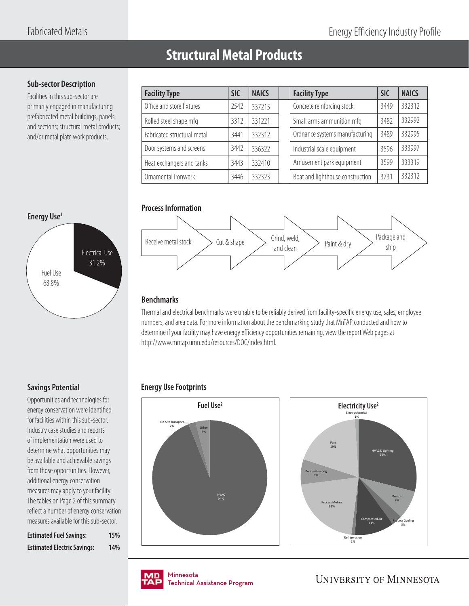# **Structural Metal Products**

# **Sub-sector Description**

Facilities in this sub-sector are primarily engaged in manufacturing prefabricated metal buildings, panels and sections; structural metal products; and/or metal plate work products.

| <b>Facility Type</b>        | SIC  | <b>NAICS</b> | <b>Facility Type</b>             | <b>SIC</b> | <b>NAICS</b> |
|-----------------------------|------|--------------|----------------------------------|------------|--------------|
| Office and store fixtures   | 2542 | 337215       | Concrete reinforcing stock       | 3449       | 332312       |
| Rolled steel shape mfq      | 3312 | 331221       | Small arms ammunition mfg        | 3482       | 332992       |
| Fabricated structural metal | 3441 | 332312       | Ordnance systems manufacturing   | 3489       | 332995       |
| Door systems and screens    | 3442 | 336322       | Industrial scale equipment       | 3596       | 333997       |
| Heat exchangers and tanks   | 3443 | 332410       | Amusement park equipment         | 3599       | 333319       |
| Ornamental ironwork         | 3446 | 332323       | Boat and lighthouse construction | 3731       | 332312       |

#### **Process Information**



# **Benchmarks**

Thermal and electrical benchmarks were unable to be reliably derived from facility-specific energy use, sales, employee numbers, and area data. For more information about the benchmarking study that MnTAP conducted and how to determine if your facility may have energy efficiency opportunities remaining, view the report Web pages at http://www.mntap.umn.edu/resources/DOC/index.html.

# **Energy Use Footprints**





# **Savings Potential**

Opportunities and technologies for energy conservation were identified for facilities within this sub-sector. Industry case studies and reports of implementation were used to determine what opportunities may be available and achievable savings from those opportunities. However, additional energy conservation measures may apply to your facility. The tables on Page 2 of this summary reflect a number of energy conservation measures available for this sub-sector.

| <b>Estimated Fuel Savings:</b>     | 15% |
|------------------------------------|-----|
| <b>Estimated Electric Savings:</b> | 14% |

Minnesota .<br>Tochnical / Technical Assistance Program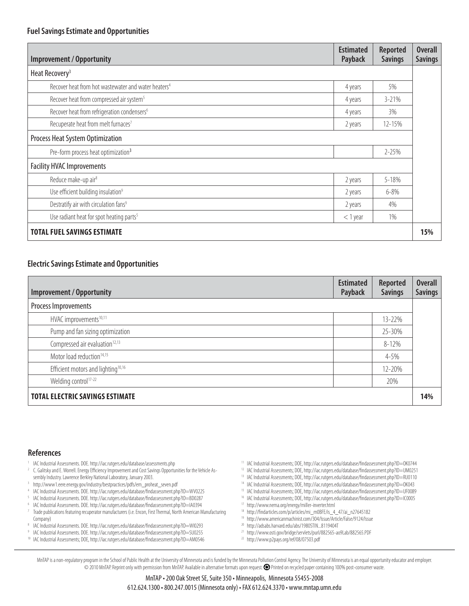| <b>Improvement / Opportunity</b>                                | <b>Estimated</b><br>Payback | <b>Reported</b><br><b>Savings</b> | <b>Overall</b><br><b>Savings</b> |
|-----------------------------------------------------------------|-----------------------------|-----------------------------------|----------------------------------|
| Heat Recovery <sup>3</sup>                                      |                             |                                   |                                  |
| Recover heat from hot wastewater and water heaters <sup>4</sup> | 4 years                     | 5%                                |                                  |
| Recover heat from compressed air system <sup>5</sup>            | 4 years                     | $3 - 21%$                         |                                  |
| Recover heat from refrigeration condensers <sup>6</sup>         | 4 years                     | 3%                                |                                  |
| Recuperate heat from melt furnaces <sup>7</sup>                 | 2 years                     | 12-15%                            |                                  |
| Process Heat System Optimization                                |                             |                                   |                                  |
| Pre-form process heat optimization <sup>3</sup>                 |                             | $2 - 25%$                         |                                  |
| <b>Facility HVAC Improvements</b>                               |                             |                                   |                                  |
| Reduce make-up air <sup>8</sup>                                 | 2 years                     | 5-18%                             |                                  |
| Use efficient building insulation <sup>9</sup>                  | 2 years                     | $6 - 8\%$                         |                                  |
| Destratify air with circulation fans <sup>9</sup>               | 2 years                     | 4%                                |                                  |
| Use radiant heat for spot heating parts <sup>5</sup>            | $<$ 1 year                  | 1%                                |                                  |
| <b>TOTAL FUEL SAVINGS ESTIMATE</b>                              |                             |                                   | 15%                              |

# **Electric Savings Estimate and Opportunities**

| <b>Improvement / Opportunity</b>               | <b>Estimated</b><br>Payback | <b>Reported</b><br><b>Savings</b> | <b>Overall</b><br><b>Savings</b> |
|------------------------------------------------|-----------------------------|-----------------------------------|----------------------------------|
| Process Improvements                           |                             |                                   |                                  |
| HVAC improvements <sup>10,11</sup>             |                             | 13-22%                            |                                  |
| Pump and fan sizing optimization               |                             | 25-30%                            |                                  |
| Compressed air evaluation <sup>12,13</sup>     |                             | $8 - 12%$                         |                                  |
| Motor load reduction <sup>14,15</sup>          |                             | 4-5%                              |                                  |
| Efficient motors and lighting <sup>10,16</sup> |                             | 12-20%                            |                                  |
| Welding control <sup>17-22</sup>               |                             | 20%                               |                                  |
| <b>TOTAL ELECTRIC SAVINGS ESTIMATE</b>         |                             |                                   | 14%                              |

#### **References**

- IAC Industrial Assessments. DOE. http://iac.rutgers.edu/database/assessments.php
- 2 C. Galitsky and E. Worrell. Energy Efficiency Improvement and Cost Savings Opportunities for the Vehicle Assembly Industry. Lawrence Berkley National Laboratory, January 2003.
- http://www1.eere.energy.gov/industry/bestpractices/pdfs/em\_proheat\_seven.pdf 4
- IAC Industrial Assessments. DOE. http://iac.rutgers.edu/database/findassessment.php?ID=WV0225 5
- IAC Industrial Assessments. DOE. http://iac.rutgers.edu/database/findassessment.php?ID=BD0287 6 IAC Industrial Assessments. DOE. http://iac.rutgers.edu/database/findassessment.php?ID=IA0394
- 7 Trade publications featuring recuperator manufacturers (i.e. Encon, First Thermal, North American Manufacturing Company)
- 8 IAC Industrial Assessments. DOE. http://iac.rutgers.edu/database/findassessment.php?ID=WI0293
- 9
- IAC Industrial Assessments. DOE. http://iac.rutgers.edu/database/fi ndassessment.php?ID=SU0255 IAC Industrial Assessments; DOE, http://iac.rutgers.edu/database/findassessment.php?ID=AM0546
- <sup>11</sup> IAC Industrial Assessments; DOE, http://iac.rutgers.edu/database/findassessment.php?ID=OK0744
- <sup>12</sup> IAC Industrial Assessments; DOE, http://iac.rutgers.edu/database/findassessment.php?ID=UM0251
- 13 IAC Industrial Assessments; DOE, http://iac.rutgers.edu/database/findassessment.php?ID=RU0110
- <sup>14</sup> IAC Industrial Assessments; DOE, http://iac.rutgers.edu/database/findassessment.php?ID=OK043
- <sup>15</sup> IAC Industrial Assessments; DOE, http://iac.rutgers.edu/database/findassessment.php?ID=UF0089
- <sup>16</sup> IAC Industrial Assessments; DOE, http://iac.rutgers.edu/database/findassessment.php?ID=IC0005
- 17 http://www.nema.org/energy/miller-inverter.html
	- <sup>18</sup> http://findarticles.com/p/articles/mi\_m0BFE/is\_4\_47/ai\_n27645182
	- 19 http://www.americanmachinist.com/304/Issue/Article/False/9124/Issue
	- 20 http://adsabs.harvard.edu/abs/1980STIN...8119404T
	- 21 http://www.osti.gov/bridge/servlets/purl/882565-ao9Lab/882565.PDF
	- 22 http://www.p2pays.org/ref/08/07503.pdf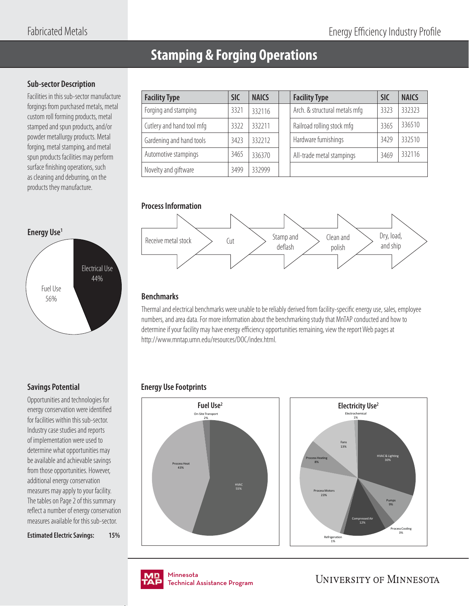# **Stamping & Forging Operations**

# **Sub-sector Description**

Facilities in this sub-sector manufacture forgings from purchased metals, metal custom roll forming products, metal stamped and spun products, and/or powder metallurgy products. Metal forging, metal stamping, and metal spun products facilities may perform surface finishing operations, such as cleaning and deburring, on the products they manufacture.



# **Savings Potential**

Opportunities and technologies for energy conservation were identified for facilities within this sub-sector. Industry case studies and reports of implementation were used to determine what opportunities may be available and achievable savings from those opportunities. However, additional energy conservation measures may apply to your facility. The tables on Page 2 of this summary reflect a number of energy conservation measures available for this sub-sector.

**Estimated Electric Savings: 15%**

| <b>Facility Type</b>      | SIC  | <b>NAICS</b> | <b>Facility Type</b>          | <b>SIC</b> | <b>NAICS</b> |
|---------------------------|------|--------------|-------------------------------|------------|--------------|
| Forging and stamping      | 3321 | 332116       | Arch. & structural metals mfg | 3323       | 332323       |
| Cutlery and hand tool mfg | 3322 | 332211       | Railroad rolling stock mfg    | 3365       | 336510       |
| Gardening and hand tools  | 3423 | 332212       | Hardware furnishings          | 3429       | 332510       |
| Automotive stampings      | 3465 | 336370       | All-trade metal stampings     | 3469       | 332116       |
| Novelty and giftware      | 3499 | 332999       |                               |            |              |

# **Process Information**



# **Benchmarks**

Thermal and electrical benchmarks were unable to be reliably derived from facility-specific energy use, sales, employee numbers, and area data. For more information about the benchmarking study that MnTAP conducted and how to determine if your facility may have energy efficiency opportunities remaining, view the report Web pages at http://www.mntap.umn.edu/resources/DOC/index.html.

# **Energy Use Footprints**







Minnesota .<br>Tochnical / Technical Assistance Program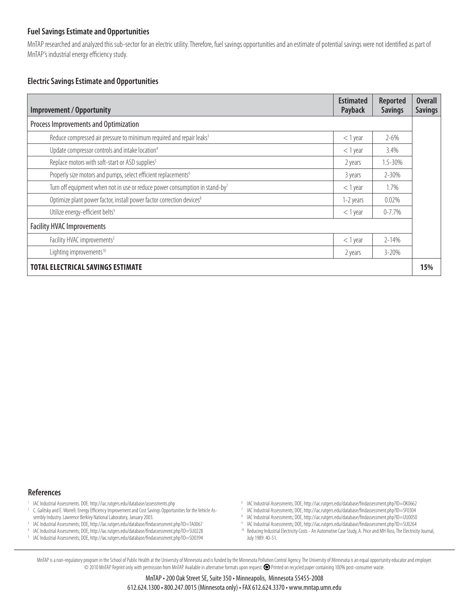MnTAP researched and analyzed this sub-sector for an electric utility. Therefore, fuel savings opportunities and an estimate of potential savings were not identified as part of MnTAP's industrial energy efficiency study.

#### **Electric Savings Estimate and Opportunities**

| <b>Improvement / Opportunity</b>                                                        | <b>Estimated</b><br>Payback | <b>Reported</b><br><b>Savings</b> | <b>Overall</b><br><b>Savings</b> |
|-----------------------------------------------------------------------------------------|-----------------------------|-----------------------------------|----------------------------------|
| Process Improvements and Optimization                                                   |                             |                                   |                                  |
| Reduce compressed air pressure to minimum required and repair leaks <sup>3</sup>        | $<$ 1 year                  | $2 - 6\%$                         |                                  |
| Update compressor controls and intake location <sup>4</sup>                             | $<$ 1 year                  | 3.4%                              |                                  |
| Replace motors with soft-start or ASD supplies <sup>5</sup>                             | 2 years                     | 1.5-30%                           |                                  |
| Properly size motors and pumps, select efficient replacements <sup>6</sup>              | 3 years                     | 2-30%                             |                                  |
| Turn off equipment when not in use or reduce power consumption in stand-by <sup>7</sup> | $<$ 1 year                  | 1.7%                              |                                  |
| Optimize plant power factor, install power factor correction devices <sup>8</sup>       | 1-2 years                   | $0.02\%$                          |                                  |
| Utilize energy-efficient belts <sup>9</sup>                                             | $<$ 1 year                  | $0 - 7.7\%$                       |                                  |
| <b>Facility HVAC Improvements</b>                                                       |                             |                                   |                                  |
| Facility HVAC improvements <sup>2</sup>                                                 | $<$ 1 year                  | $2 - 14%$                         |                                  |
| Lighting improvements <sup>10</sup>                                                     | 2 years                     | $3 - 20%$                         |                                  |
| <b>TOTAL ELECTRICAL SAVINGS ESTIMATE</b>                                                |                             |                                   | 15%                              |

### **References**

- 1 IAC Industrial Assessments. DOE. http://iac.rutgers.edu/database/assessments.php
- 2 C. Galitsky and E. Worrell. Energy Efficiency Improvement and Cost Savings Opportunities for the Vehicle Assembly Industry. Lawrence Berkley National Laboratory, January 2003.
- 3 IAC Industrial Assessments; DOE, http://iac.rutgers.edu/database/findassessment.php?ID=TA0067
- 4 IAC Industrial Assessments; DOE, http://iac.rutgers.edu/database/fi ndassessment.php?ID=SU0228
- 5 IAC Industrial Assessments; DOE, http://iac.rutgers.edu/database/findassessment.php?ID=SD0394
- <sup>6</sup> IAC Industrial Assessments; DOE, http://iac.rutgers.edu/database/findassessment.php?ID=OK0662
- 7 IAC Industrial Assessments; DOE, http://iac.rutgers.edu/database/findassessment.php?ID=SF0304
- 8 IAC Industrial Assessments; DOE, http://iac.rutgers.edu/database/findassessment.php?ID=UU0050
- 9 IAC Industrial Assessments; DOE, http://iac.rutgers.edu/database/findassessment.php?ID=SU0264
- <sup>10</sup> Reducing Industrial Electricity Costs An Automotive Case Study, A. Price and MH Ross, The Electricity Journal, July 1989: 40-51.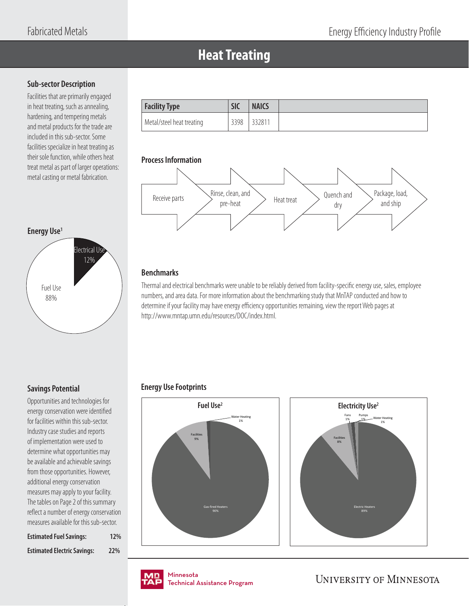# **Heat Treating**

# **Sub-sector Description**

Facilities that are primarily engaged in heat treating, such as annealing, hardening, and tempering metals and metal products for the trade are included in this sub-sector. Some facilities specialize in heat treating as their sole function, while others heat treat metal as part of larger operations: metal casting or metal fabrication.

| Facility Type             | <b>SIC</b> | <b>NAICS</b> |  |
|---------------------------|------------|--------------|--|
| Metal/steel heat treating | 3398       | 33281        |  |

#### **Process Information**



#### **Energy Use1**



# **Benchmarks**

Thermal and electrical benchmarks were unable to be reliably derived from facility-specific energy use, sales, employee numbers, and area data. For more information about the benchmarking study that MnTAP conducted and how to determine if your facility may have energy efficiency opportunities remaining, view the report Web pages at http://www.mntap.umn.edu/resources/DOC/index.html.

# **Energy Use Footprints**

Opportunities and technologies for energy conservation were identified for facilities within this sub-sector. Industry case studies and reports of implementation were used to determine what opportunities may be available and achievable savings from those opportunities. However, additional energy conservation measures may apply to your facility. The tables on Page 2 of this summary reflect a number of energy conservation measures available for this sub-sector.

**Savings Potential**

| <b>Estimated Fuel Savings:</b>     | 12% |
|------------------------------------|-----|
| <b>Estimated Electric Savings:</b> | 22% |







Minnesota .<br>Tochnical / Technical Assistance Program

Gas-fired Heaters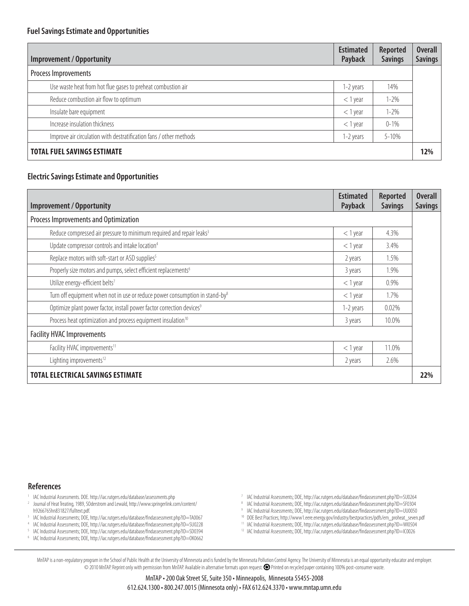| <b>Improvement / Opportunity</b>                                   | <b>Estimated</b><br>Payback | <b>Reported</b><br><b>Savings</b> | <b>Overall</b><br><b>Savings</b> |
|--------------------------------------------------------------------|-----------------------------|-----------------------------------|----------------------------------|
| Process Improvements                                               |                             |                                   |                                  |
| Use waste heat from hot flue gases to preheat combustion air       | 1-2 years                   | 14%                               |                                  |
| Reduce combustion air flow to optimum                              | $<$ 1 year                  | $1 - 2%$                          |                                  |
| Insulate bare equipment                                            | $<$ 1 year                  | $1 - 2%$                          |                                  |
| Increase insulation thickness                                      | $<$ 1 year                  | $0 - 1\%$                         |                                  |
| Improve air circulation with destratification fans / other methods | 1-2 years                   | $5 - 10\%$                        |                                  |
| <b>TOTAL FUEL SAVINGS ESTIMATE</b>                                 |                             |                                   | 12%                              |

#### **Electric Savings Estimate and Opportunities**

| Improvement / Opportunity                                                               | <b>Estimated</b><br>Payback | <b>Reported</b><br><b>Savings</b> | <b>Overall</b><br><b>Savings</b> |
|-----------------------------------------------------------------------------------------|-----------------------------|-----------------------------------|----------------------------------|
| Process Improvements and Optimization                                                   |                             |                                   |                                  |
| Reduce compressed air pressure to minimum required and repair leaks <sup>3</sup>        | $<$ 1 year                  | 4.3%                              |                                  |
| Update compressor controls and intake location <sup>4</sup>                             | $<$ 1 year                  | 3.4%                              |                                  |
| Replace motors with soft-start or ASD supplies <sup>5</sup>                             | 2 years                     | 1.5%                              |                                  |
| Properly size motors and pumps, select efficient replacements <sup>6</sup>              | 3 years                     | 1.9%                              |                                  |
| Utilize energy-efficient belts7                                                         | $<$ 1 year                  | $0.9\%$                           |                                  |
| Turn off equipment when not in use or reduce power consumption in stand-by <sup>8</sup> | $<$ 1 year                  | 1.7%                              |                                  |
| Optimize plant power factor, install power factor correction devices <sup>9</sup>       | 1-2 years                   | $0.02\%$                          |                                  |
| Process heat optimization and process equipment insulation <sup>10</sup>                | 3 years                     | 10.0%                             |                                  |
| <b>Facility HVAC Improvements</b>                                                       |                             |                                   |                                  |
| Facility HVAC improvements <sup>11</sup>                                                | $<$ 1 year                  | 11.0%                             |                                  |
| Lighting improvements <sup>12</sup>                                                     | 2 years                     | 2.6%                              |                                  |
| <b>TOTAL ELECTRICAL SAVINGS ESTIMATE</b>                                                |                             |                                   | 22%                              |

#### **References**

- 1 IAC Industrial Assessments. DOE. http://iac.rutgers.edu/database/assessments.php
- 2 Journal of Heat Treating, 1989, SOderstrom and Lewald, http://www.springerlink.com/content/ h9266765hn831827/fulltext.pdf.
- <sup>3</sup> IAC Industrial Assessments; DOE, http://iac.rutgers.edu/database/findassessment.php?ID=TA0067
- 4 IAC Industrial Assessments; DOE, http://iac.rutgers.edu/database/fi ndassessment.php?ID=SU0228
- 5 IAC Industrial Assessments; DOE, http://iac.rutgers.edu/database/fi ndassessment.php?ID=SD0394
- 6 IAC Industrial Assessments; DOE, http://iac.rutgers.edu/database/fi ndassessment.php?ID=OK0662
- <sup>7</sup> IAC Industrial Assessments; DOE, http://iac.rutgers.edu/database/findassessment.php?ID=SU0264
- 8 IAC Industrial Assessments; DOE, http://iac.rutgers.edu/database/findassessment.php?ID=SF0304
- <sup>9</sup> IAC Industrial Assessments; DOE, http://iac.rutgers.edu/database/findassessment.php?ID=UU0050
- 10 DOE Best Practices; http://www1.eere.energy.gov/industry/bestpractices/pdfs/em\_proheat\_seven.pdf
- <sup>11</sup> IAC Industrial Assessments; DOE, http://iac.rutgers.edu/database/findassessment.php?ID=WI0504
- <sup>12</sup> IAC Industrial Assessments; DOE, http://iac.rutgers.edu/database/findassessment.php?ID=IC0026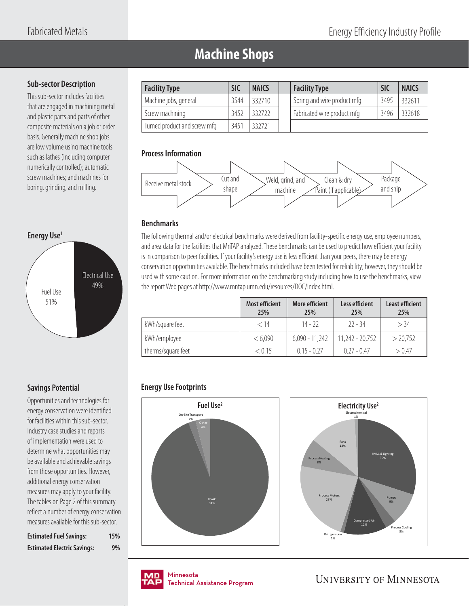# **Machine Shops**

# **Sub-sector Description**

This sub-sector includes facilities that are engaged in machining metal and plastic parts and parts of other composite materials on a job or order basis. Generally machine shop jobs are low volume using machine tools such as lathes (including computer numerically controlled); automatic screw machines; and machines for boring, grinding, and milling.



# **Savings Potential**

Opportunities and technologies for energy conservation were identified for facilities within this sub-sector. Industry case studies and reports of implementation were used to determine what opportunities may be available and achievable savings from those opportunities. However, additional energy conservation measures may apply to your facility. The tables on Page 2 of this summary reflect a number of energy conservation measures available for this sub-sector.

| <b>Estimated Fuel Savings:</b>     | 15% |
|------------------------------------|-----|
| <b>Estimated Electric Savings:</b> | 9%  |

| <b>Facility Type</b>         | <b>SIC</b> | <b>NAICS</b> | <b>Facility Type</b>        | <b>SIC</b> | <b>NAICS</b> |
|------------------------------|------------|--------------|-----------------------------|------------|--------------|
| Machine jobs, general        | 3544       | 332710       | Spring and wire product mfg | 3495       | 332611       |
| Screw machining              | 3452       | 332722       | Fabricated wire product mfg | 3496       | 332618       |
| Turned product and screw mfg | 3451       | 332721       |                             |            |              |

# **Process Information**



# **Benchmarks**

The following thermal and/or electrical benchmarks were derived from facility-specific energy use, employee numbers, and area data for the facilities that MnTAP analyzed. These benchmarks can be used to predict how efficient your facility is in comparison to peer facilities. If your facility's energy use is less efficient than your peers, there may be energy conservation opportunities available. The benchmarks included have been tested for reliability; however, they should be used with some caution. For more information on the benchmarking study including how to use the benchmarks, view the report Web pages at http://www.mntap.umn.edu/resources/DOC/index.html.

|                    | <b>Most efficient</b><br>25% | More efficient<br>25% | Less efficient<br>25% | <b>Least efficient</b><br>25% |
|--------------------|------------------------------|-----------------------|-----------------------|-------------------------------|
| kWh/square feet    | < 14                         | $14 - 22$             | $22 - 34$             | > 34                          |
| kWh/employee       | < 6.090                      | $6,090 - 11,242$      | $11,242 - 20,752$     | > 20.752                      |
| therms/square feet | < 0.15                       | $0.15 - 0.27$         | $0.27 - 0.47$         | > 0.47                        |

# **Energy Use Footprints**





Minnesota .<br>Tochnical / Technical Assistance Program

**UNIVERSITY OF MINNESOTA** 

Process Cooling 3%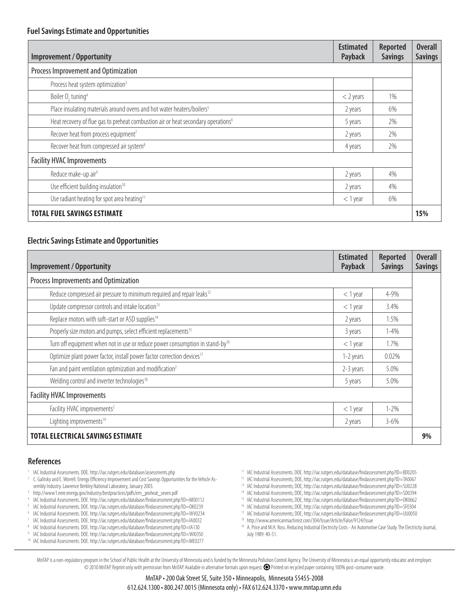| <b>Improvement / Opportunity</b>                                                              | <b>Estimated</b><br>Payback | <b>Reported</b><br><b>Savings</b> | <b>Overall</b><br><b>Savings</b> |
|-----------------------------------------------------------------------------------------------|-----------------------------|-----------------------------------|----------------------------------|
| Process Improvement and Optimization                                                          |                             |                                   |                                  |
| Process heat system optimization <sup>3</sup>                                                 |                             |                                   |                                  |
| Boiler O <sub>2</sub> tuning <sup>4</sup>                                                     | $<$ 2 years                 | 1%                                |                                  |
| Place insulating materials around ovens and hot water heaters/boilers <sup>5</sup>            | 2 years                     | 6%                                |                                  |
| Heat recovery of flue gas to preheat combustion air or heat secondary operations <sup>6</sup> | 5 years                     | 2%                                |                                  |
| Recover heat from process equipment <sup>7</sup>                                              | 2 years                     | 2%                                |                                  |
| Recover heat from compressed air system <sup>8</sup>                                          | 4 years                     | 2%                                |                                  |
| <b>Facility HVAC Improvements</b>                                                             |                             |                                   |                                  |
| Reduce make-up air <sup>9</sup>                                                               | 2 years                     | 4%                                |                                  |
| Use efficient building insulation <sup>10</sup>                                               | 2 years                     | 4%                                |                                  |
| Use radiant heating for spot area heating <sup>11</sup>                                       | $<$ 1 year                  | 6%                                |                                  |
| <b>TOTAL FUEL SAVINGS ESTIMATE</b>                                                            |                             |                                   | 15%                              |

# **Electric Savings Estimate and Opportunities**

| <b>Improvement / Opportunity</b>                                                         | <b>Estimated</b><br>Payback | <b>Reported</b><br><b>Savings</b> | <b>Overall</b><br><b>Savings</b> |
|------------------------------------------------------------------------------------------|-----------------------------|-----------------------------------|----------------------------------|
| Process Improvements and Optimization                                                    |                             |                                   |                                  |
| Reduce compressed air pressure to minimum required and repair leaks <sup>12</sup>        | $<$ 1 year                  | 4-9%                              |                                  |
| Update compressor controls and intake location <sup>13</sup>                             | $<$ 1 year                  | 3.4%                              |                                  |
| Replace motors with soft-start or ASD supplies <sup>14</sup>                             | 2 years                     | 1.5%                              |                                  |
| Properly size motors and pumps, select efficient replacements <sup>15</sup>              | 3 years                     | $1 - 4%$                          |                                  |
| Turn off equipment when not in use or reduce power consumption in stand-by <sup>16</sup> | $<$ 1 year                  | 1.7%                              |                                  |
| Optimize plant power factor, install power factor correction devices <sup>17</sup>       | 1-2 years                   | $0.02\%$                          |                                  |
| Fan and paint ventilation optimization and modification <sup>2</sup>                     | 2-3 years                   | 5.0%                              |                                  |
| Welding control and inverter technologies <sup>18</sup>                                  | 5 years                     | 5.0%                              |                                  |
| <b>Facility HVAC Improvements</b>                                                        |                             |                                   |                                  |
| Facility HVAC improvements <sup>2</sup>                                                  | $<$ 1 year                  | $1 - 2\%$                         |                                  |
| Lighting improvements <sup>19</sup>                                                      | 2 years                     | $3 - 6\%$                         |                                  |
| <b>TOTAL ELECTRICAL SAVINGS ESTIMATE</b>                                                 |                             |                                   | 9%                               |

#### **References**

- IAC Industrial Assessments. DOE. http://iac.rutgers.edu/database/assessments.php
- 2 C. Galitsky and E. Worrell. Energy Efficiency Improvement and Cost Savings Opportunities for the Vehicle Assembly Industry. Lawrence Berkley National Laboratory, January 2003.
- http://www1.eere.energy.gov/industry/bestpractices/pdfs/em\_proheat\_seven.pdf
- 4 IAC Industrial Assessments. DOE. http://iac.rutgers.edu/database/findassessment.php?ID=MO0112
- 5 IAC Industrial Assessments. DOE. http://iac.rutgers.edu/database/findassessment.php?ID=OK0239
- 6 IAC Industrial Assessments. DOE. http://iac.rutgers.edu/database/findassessment.php?ID=WV0234
- IAC Industrial Assessments. DOE. http://iac.rutgers.edu/database/findassessment.php?ID=IA0032
- <sup>8</sup> IAC Industrial Assessments. DOE. http://iac.rutgers.edu/database/findassessment.php?ID=IA130 9
- IAC Industrial Assessments. DOE. http://iac.rutgers.edu/database/findassessment.php?ID=WI0350 <sup>10</sup> IAC Industrial Assessments. DOE. http://iac.rutgers.edu/database/findassessment.php?ID=ME0277
- <sup>11</sup> IAC Industrial Assessments. DOE. http://iac.rutgers.edu/database/findassessment.php?ID=BD0205
- <sup>12</sup> IAC Industrial Assessments; DOE, http://iac.rutgers.edu/database/findassessment.php?ID=TA0067
- 13 IAC Industrial Assessments; DOE, http://iac.rutgers.edu/database/findassessment.php?ID=SU0228
- <sup>14</sup> IAC Industrial Assessments; DOE, http://iac.rutgers.edu/database/findassessment.php?ID=SD0394
- 15 IAC Industrial Assessments; DOE, http://iac.rutgers.edu/database/findassessment.php?ID=OK0662
- <sup>16</sup> IAC Industrial Assessments; DOE, http://iac.rutgers.edu/database/findassessment.php?ID=SF0304
- <sup>17</sup> IAC Industrial Assessments; DOE, http://iac.rutgers.edu/database/findassessment.php?ID=UU0050
- 18 http://www.americanmachinist.com/304/Issue/Article/False/9124/Issue
- 19 A. Price and M.H. Ross. Reducing Industrial Electricity Costs An Automotive Case Study. The Electricity Journal, July 1989: 40-51.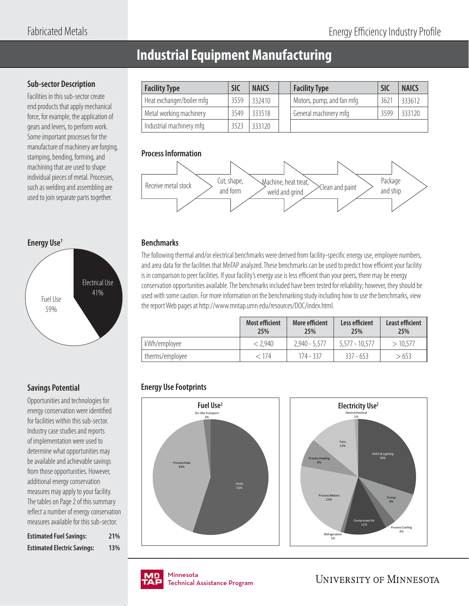# **Industrial Equipment Manufacturing**

# **Sub-sector Description**

Facilities in this sub-sector create end products that apply mechanical force, for example, the application of gears and levers, to perform work. Some important processes for the manufacture of machinery are forging, stamping, bending, forming, and machining that are used to shape individual pieces of metal. Processes, such as welding and assembling are used to join separate parts together.



# **Savings Potential**

Opportunities and technologies for energy conservation were identified for facilities within this sub-sector. Industry case studies and reports of implementation were used to determine what opportunities may be available and achievable savings from those opportunities. However, additional energy conservation measures may apply to your facility. The tables on Page 2 of this summary reflect a number of energy conservation measures available for this sub-sector.

| <b>Estimated Fuel Savings:</b>     | 21% |
|------------------------------------|-----|
| <b>Estimated Electric Savings:</b> | 13% |

| <b>Facility Type</b>      | <b>SIC</b> | <b>NAICS</b> | <b>Facility Type</b>      | <b>SIC</b> | <b>NAICS</b> |
|---------------------------|------------|--------------|---------------------------|------------|--------------|
| Heat exchanger/boiler mfg | 3559       | 332410       | Motors, pump, and fan mfg | 3621       | 333612       |
| Metal working machinery   | 3549       | 333518       | General machinery mfg     | 3599       | 333120       |
| Industrial machinery mfg  | 3523       | 333120       |                           |            |              |

# **Process Information**



# **Benchmarks**

The following thermal and/or electrical benchmarks were derived from facility-specific energy use, employee numbers, and area data for the facilities that MnTAP analyzed. These benchmarks can be used to predict how efficient your facility is in comparison to peer facilities. If your facility's energy use is less efficient than your peers, there may be energy conservation opportunities available. The benchmarks included have been tested for reliability; however, they should be used with some caution. For more information on the benchmarking study including how to use the benchmarks, view the report Web pages at http://www.mntap.umn.edu/resources/DOC/index.html.

|                 | <b>Most efficient</b><br>25% | More efficient<br>25% | Less efficient<br>25% | <b>Least efficient</b><br>25% |
|-----------------|------------------------------|-----------------------|-----------------------|-------------------------------|
| kWh/employee    | < 2.940                      | $2.940 - 5.577$       | $5.577 - 10.577$      | >10.577                       |
| therms/employee | < 174                        | 174 - 337             | $337 - 653$           | >653                          |

# **Energy Use Footprints**





**UNIVERSITY OF MINNESOTA** 

HVAC & Lighting 30%

Pumps 9%

Process Cooling 3%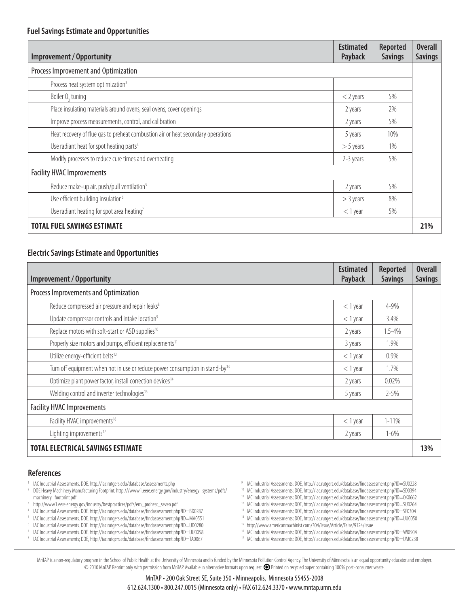| <b>Improvement / Opportunity</b>                                                 | <b>Estimated</b><br>Payback | <b>Reported</b><br><b>Savings</b> | <b>Overall</b><br><b>Savings</b> |
|----------------------------------------------------------------------------------|-----------------------------|-----------------------------------|----------------------------------|
| Process Improvement and Optimization                                             |                             |                                   |                                  |
| Process heat system optimization <sup>3</sup>                                    |                             |                                   |                                  |
| Boiler O <sub>2</sub> tuning                                                     | $<$ 2 years                 | 5%                                |                                  |
| Place insulating materials around ovens, seal ovens, cover openings              | 2 years                     | 2%                                |                                  |
| Improve process measurements, control, and calibration                           | 2 years                     | 5%                                |                                  |
| Heat recovery of flue gas to preheat combustion air or heat secondary operations | 5 years                     | 10%                               |                                  |
| Use radiant heat for spot heating parts <sup>4</sup>                             | $> 5$ years                 | 1%                                |                                  |
| Modify processes to reduce cure times and overheating                            | 2-3 years                   | 5%                                |                                  |
| <b>Facility HVAC Improvements</b>                                                |                             |                                   |                                  |
| Reduce make-up air, push/pull ventilation <sup>5</sup>                           | 2 years                     | 5%                                |                                  |
| Use efficient building insulation <sup>6</sup>                                   | $>$ 3 years                 | 8%                                |                                  |
| Use radiant heating for spot area heating <sup>7</sup>                           | $<$ 1 year                  | 5%                                |                                  |
| <b>TOTAL FUEL SAVINGS ESTIMATE</b>                                               |                             |                                   | 21%                              |

#### **Electric Savings Estimate and Opportunities**

| <b>Improvement / Opportunity</b>                                                         | <b>Estimated</b><br>Payback | <b>Reported</b><br><b>Savings</b> | <b>Overall</b><br><b>Savings</b> |
|------------------------------------------------------------------------------------------|-----------------------------|-----------------------------------|----------------------------------|
| Process Improvements and Optimization                                                    |                             |                                   |                                  |
| Reduce compressed air pressure and repair leaks <sup>8</sup>                             | $<$ 1 year                  | 4-9%                              |                                  |
| Update compressor controls and intake location <sup>9</sup>                              | $<$ 1 year                  | 3.4%                              |                                  |
| Replace motors with soft-start or ASD supplies <sup>10</sup>                             | 2 years                     | $1.5 - 4\%$                       |                                  |
| Properly size motors and pumps, efficient replacements <sup>11</sup>                     | 3 years                     | 1.9%                              |                                  |
| Utilize energy-efficient belts <sup>12</sup>                                             | $<$ 1 year                  | $0.9\%$                           |                                  |
| Turn off equipment when not in use or reduce power consumption in stand-by <sup>13</sup> | $<$ 1 year                  | 1.7%                              |                                  |
| Optimize plant power factor, install correction devices <sup>14</sup>                    | 2 years                     | $0.02\%$                          |                                  |
| Welding control and inverter technologies <sup>15</sup>                                  | 5 years                     | $2 - 5\%$                         |                                  |
| <b>Facility HVAC Improvements</b>                                                        |                             |                                   |                                  |
| Facility HVAC improvements <sup>16</sup>                                                 | $<$ 1 year                  | $1 - 11\%$                        |                                  |
| Lighting improvements <sup>17</sup>                                                      | 2 years                     | $1 - 6\%$                         |                                  |
| <b>TOTAL ELECTRICAL SAVINGS ESTIMATE</b>                                                 |                             |                                   | 13%                              |

#### **References**

- IAC Industrial Assessments. DOE. http://iac.rutgers.edu/database/assessments.php
- 2 DOE Heavy Machinery Manufacturing Footprint. http:///www1.eere.energy.gov/industry/energy\_systems/pdfs/ machinery\_footprint.pdf
- http://www1.eere.energy.gov/industry/bestpractices/pdfs/em\_proheat\_seven.pdf
- 4 IAC Industrial Assessments. DOE. http://iac.rutgers.edu/database/findassessment.php?ID=BD0287
- 5 IAC Industrial Assessments. DOE. http://iac.rutgers.edu/database/findassessment.php?ID=MA0551
- 6 IAC Industrial Assessments. DOE. http://iac.rutgers.edu/database/findassessment.php?ID=UD0280 7
- <sup>7</sup> IAC Industrial Assessments. DOE. http://iac.rutgers.edu/database/findassessment.php?ID=UU0058<br><sup>8</sup> IAC Industrial Assessments: DOE. http://iac.rutgers.edu/database/findassessment.php?ID=TA0067 IAC Industrial Assessments; DOE, http://iac.rutgers.edu/database/findassessment.php?ID=TA0067
- <sup>9</sup> IAC Industrial Assessments; DOE, http://iac.rutgers.edu/database/findassessment.php?ID=SU0228
- <sup>10</sup> IAC Industrial Assessments; DOE, http://iac.rutgers.edu/database/findassessment.php?ID=SD0394 <sup>11</sup> IAC Industrial Assessments; DOE, http://iac.rutgers.edu/database/findassessment.php?ID=OK0662
- <sup>12</sup> IAC Industrial Assessments; DOE, http://iac.rutgers.edu/database/findassessment.php?ID=SU0264
- <sup>13</sup> IAC Industrial Assessments; DOE, http://iac.rutgers.edu/database/findassessment.php?ID=SF0304
- <sup>14</sup> IAC Industrial Assessments; DOE, http://iac.rutgers.edu/database/findassessment.php?ID=UU0050
- 15 http://www.americanmachinist.com/304/Issue/Article/False/9124/Issue
- <sup>16</sup> IAC Industrial Assessments; DOE, http://iac.rutgers.edu/database/findassessment.php?ID=WI0504
- <sup>17</sup> IAC Industrial Assessments; DOE, http://iac.rutgers.edu/database/findassessment.php?ID=UM0238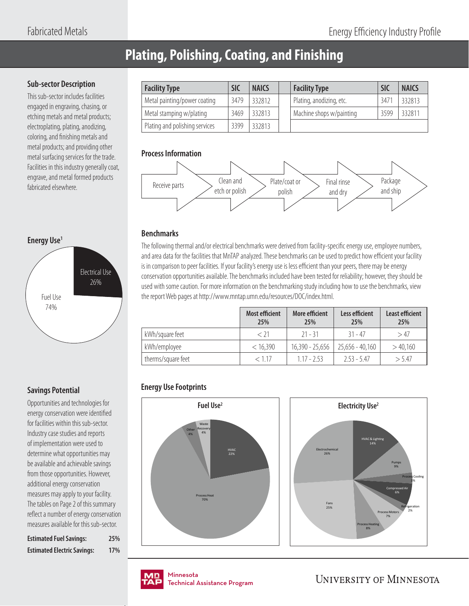# **Plating, Polishing, Coating, and Finishing**

#### **Sub-sector Description**

This sub-sector includes facilities engaged in engraving, chasing, or etching metals and metal products; electroplating, plating, anodizing, coloring, and finishing metals and metal products; and providing other metal surfacing services for the trade. Facilities in this industry generally coat, engrave, and metal formed products fabricated elsewhere.



#### **Process Information**



# **Benchmarks**

The following thermal and/or electrical benchmarks were derived from facility-specific energy use, employee numbers, and area data for the facilities that MnTAP analyzed. These benchmarks can be used to predict how efficient your facility is in comparison to peer facilities. If your facility's energy use is less efficient than your peers, there may be energy conservation opportunities available. The benchmarks included have been tested for reliability; however, they should be used with some caution. For more information on the benchmarking study including how to use the benchmarks, view the report Web pages at http://www.mntap.umn.edu/resources/DOC/index.html.

|                    | <b>Most efficient</b><br>25% | More efficient<br>25% | Less efficient<br>25% | <b>Least efficient</b><br>25% |
|--------------------|------------------------------|-----------------------|-----------------------|-------------------------------|
| kWh/square feet    | $<$ 21                       | $21 - 31$             | $31 - 47$             | >47                           |
| kWh/employee       | < 16,390                     | $16,390 - 25,656$     | 25,656 - 40,160       | >40,160                       |
| therms/square feet | < 117                        | $1.17 - 2.53$         | $2.53 - 5.47$         | > 5.47                        |

# **Energy Use Footprints**







# **Savings Potential**

Opportunities and technologies for energy conservation were identified for facilities within this sub-sector. Industry case studies and reports of implementation were used to determine what opportunities may be available and achievable savings from those opportunities. However, additional energy conservation measures may apply to your facility. The tables on Page 2 of this summary reflect a number of energy conservation measures available for this sub-sector.

| <b>Estimated Fuel Savings:</b>     | 25% |
|------------------------------------|-----|
| <b>Estimated Electric Savings:</b> | 17% |

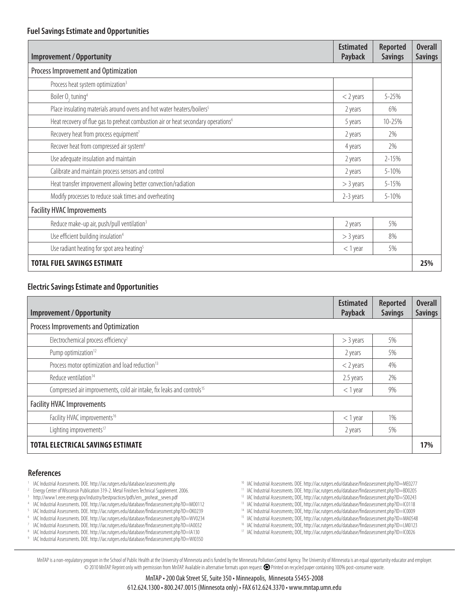| <b>Improvement / Opportunity</b>                                                              | <b>Estimated</b><br><b>Payback</b> | <b>Reported</b><br><b>Savings</b> | <b>Overall</b><br><b>Savings</b> |
|-----------------------------------------------------------------------------------------------|------------------------------------|-----------------------------------|----------------------------------|
| Process Improvement and Optimization                                                          |                                    |                                   |                                  |
| Process heat system optimization <sup>3</sup>                                                 |                                    |                                   |                                  |
| Boiler O <sub>2</sub> tuning <sup>4</sup>                                                     | $<$ 2 years                        | 5-25%                             |                                  |
| Place insulating materials around ovens and hot water heaters/boilers <sup>5</sup>            | 2 years                            | 6%                                |                                  |
| Heat recovery of flue gas to preheat combustion air or heat secondary operations <sup>6</sup> | 5 years                            | $10 - 25%$                        |                                  |
| Recovery heat from process equipment <sup>7</sup>                                             | 2 years                            | 2%                                |                                  |
| Recover heat from compressed air system <sup>8</sup>                                          | 4 years                            | 2%                                |                                  |
| Use adequate insulation and maintain                                                          | 2 years                            | $2 - 15%$                         |                                  |
| Calibrate and maintain process sensors and control                                            | 2 years                            | $5 - 10%$                         |                                  |
| Heat transfer improvement allowing better convection/radiation                                | $>$ 3 years                        | 5-15%                             |                                  |
| Modify processes to reduce soak times and overheating                                         | 2-3 years                          | $5 - 10%$                         |                                  |
| <b>Facility HVAC Improvements</b>                                                             |                                    |                                   |                                  |
| Reduce make-up air, push/pull ventilation <sup>3</sup>                                        | 2 years                            | 5%                                |                                  |
| Use efficient building insulation <sup>4</sup>                                                | $>$ 3 years                        | 8%                                |                                  |
| Use radiant heating for spot area heating <sup>5</sup>                                        | $<$ 1 year                         | 5%                                |                                  |
| <b>TOTAL FUEL SAVINGS ESTIMATE</b>                                                            |                                    |                                   | 25%                              |

#### **Electric Savings Estimate and Opportunities**

| <b>Improvement / Opportunity</b>                                                   | <b>Estimated</b><br>Payback | <b>Reported</b><br><b>Savings</b> | <b>Overall</b><br><b>Savings</b> |
|------------------------------------------------------------------------------------|-----------------------------|-----------------------------------|----------------------------------|
| Process Improvements and Optimization                                              |                             |                                   |                                  |
| Electrochemical process efficiency <sup>2</sup>                                    | $>$ 3 years                 | 5%                                |                                  |
| Pump optimization <sup>12</sup>                                                    | 2 years                     | 5%                                |                                  |
| Process motor optimization and load reduction <sup>13</sup>                        | $<$ 2 years                 | 4%                                |                                  |
| Reduce ventilation <sup>14</sup>                                                   | 2.5 years                   | 2%                                |                                  |
| Compressed air improvements, cold air intake, fix leaks and controls <sup>15</sup> | $<$ 1 year                  | 9%                                |                                  |
| <b>Facility HVAC Improvements</b>                                                  |                             |                                   |                                  |
| Facility HVAC improvements <sup>16</sup>                                           | $<$ 1 year                  | 1%                                |                                  |
| Lighting improvements <sup>17</sup>                                                | 2 years                     | 5%                                |                                  |
| <b>TOTAL ELECTRICAL SAVINGS ESTIMATE</b>                                           |                             |                                   | 17%                              |

#### **References**

- 1 IAC Industrial Assessments. DOE. http://iac.rutgers.edu/database/assessments.php
- <sup>2</sup> Energy Center of Wisconsin Publication 319-2. Metal Finishers Technical Supplement. 2006.
- http://www1.eere.energy.gov/industry/bestpractices/pdfs/em\_proheat\_seven.pdf 4
- IAC Industrial Assessments. DOE. http://iac.rutgers.edu/database/findassessment.php?ID=MO0112
- <sup>5</sup> IAC Industrial Assessments. DOE. http://iac.rutgers.edu/database/findassessment.php?ID=OK0239 <sup>6</sup> IAC Industrial Assessments. DOE. http://iac.rutgers.edu/database/findassessment.php?ID=WV0234
- 7 IAC Industrial Assessments. DOE. http://iac.rutgers.edu/database/fi ndassessment.php?ID=IA0032
- <sup>8</sup> IAC Industrial Assessments. DOE. http://iac.rutgers.edu/database/findassessment.php?ID=IA130
- <sup>9</sup> IAC Industrial Assessments. DOE. http://iac.rutgers.edu/database/findassessment.php?ID=WI0350
- <sup>10</sup> IAC Industrial Assessments. DOE. http://iac.rutgers.edu/database/findassessment.php?ID=ME0277 <sup>11</sup> IAC Industrial Assessments. DOE. http://iac.rutgers.edu/database/findassessment.php?ID=BD0205
- <sup>12</sup> IAC Industrial Assessments; DOE, http://iac.rutgers.edu/database/findassessment.php?ID=SD0243
- <sup>13</sup> IAC Industrial Assessments; DOE, http://iac.rutgers.edu/database/findassessment.php?ID=IC0118
- <sup>14</sup> IAC Industrial Assessments; DOE, http://iac.rutgers.edu/database/findassessment.php?ID=IC0009
- <sup>15</sup> IAC Industrial Assessments; DOE, http://iac.rutgers.edu/database/findassessment.php?ID=MA0548
- <sup>16</sup> IAC Industrial Assessments; DOE, http://iac.rutgers.edu/database/findassessment.php?ID=LM0123
- <sup>17</sup> IAC Industrial Assessments; DOE, http://iac.rutgers.edu/database/findassessment.php?ID=IC0026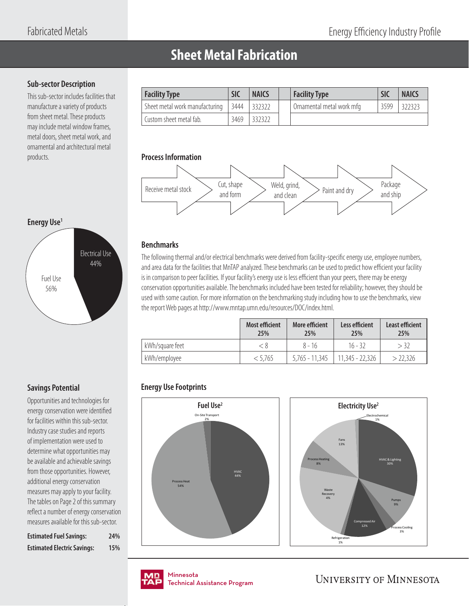# **Sheet Metal Fabrication**

# **Sub-sector Description**

This sub-sector includes facilities that manufacture a variety of products from sheet metal. These products may include metal window frames, metal doors, sheet metal work, and ornamental and architectural metal products. **Process Information**

| <b>Facility Type</b>           | <b>SIC</b> | <b>NAICS</b> | <b>Facility Type</b>      | <b>SIC</b> | <b>NAICS</b> |
|--------------------------------|------------|--------------|---------------------------|------------|--------------|
| Sheet metal work manufacturing | 3444       | 332322       | Ornamental metal work mfg | 3599       | 322323       |
| Custom sheet metal fab.        | 3469       | 332322       |                           |            |              |



# **Energy Use1**



**Savings Potential**

Opportunities and technologies for energy conservation were identified for facilities within this sub-sector. Industry case studies and reports of implementation were used to determine what opportunities may be available and achievable savings from those opportunities. However, additional energy conservation measures may apply to your facility. The tables on Page 2 of this summary reflect a number of energy conservation measures available for this sub-sector.

| <b>Estimated Fuel Savings:</b>     | 24% |
|------------------------------------|-----|
| <b>Estimated Electric Savings:</b> | 15% |

# **Benchmarks**

The following thermal and/or electrical benchmarks were derived from facility-specific energy use, employee numbers, and area data for the facilities that MnTAP analyzed. These benchmarks can be used to predict how efficient your facility is in comparison to peer facilities. If your facility's energy use is less efficient than your peers, there may be energy conservation opportunities available. The benchmarks included have been tested for reliability; however, they should be used with some caution. For more information on the benchmarking study including how to use the benchmarks, view the report Web pages at http://www.mntap.umn.edu/resources/DOC/index.html.

|                 | <b>Most efficient</b><br>25% | <b>More efficient</b><br>25% | Less efficient<br>25% | <b>Least efficient</b><br>25% |
|-----------------|------------------------------|------------------------------|-----------------------|-------------------------------|
| kWh/square feet | K 8                          | $8 - 16$                     | $16 - 32$             | $>$ 32                        |
| kWh/employee    | < 5.765                      | $5,765 - 11,345$             | $11,345 - 22,326$     | > 22.326                      |

# **Energy Use Footprints**